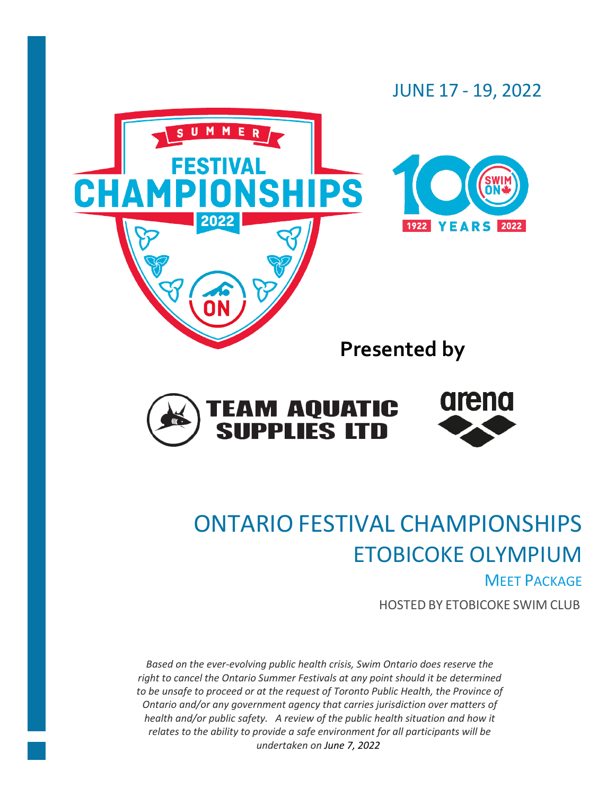



# ONTARIO FESTIVAL CHAMPIONSHIPS ETOBICOKE OLYMPIUM **MEET PACKAGE**

HOSTED BY ETOBICOKE SWIM CLUB

*Based on the ever-evolving public health crisis, Swim Ontario does reserve the right to cancel the Ontario Summer Festivals at any point should it be determined to be unsafe to proceed or at the request of Toronto Public Health, the Province of Ontario and/or any government agency that carries jurisdiction over matters of health and/or public safety. A review of the public health situation and how it relates to the ability to provide a safe environment for all participants will be undertaken on June 7, 2022.*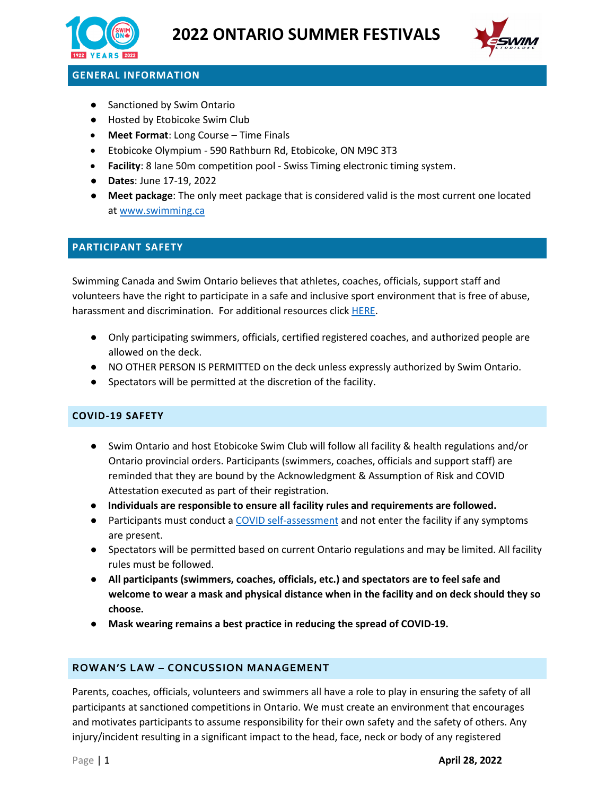



# **GENERAL INFORMATION**

- Sanctioned by Swim Ontario
- Hosted by Etobicoke Swim Club
- **Meet Format**: Long Course Time Finals
- Etobicoke Olympium 590 Rathburn Rd, Etobicoke, ON M9C 3T3
- **Facility**: 8 lane 50m competition pool Swiss Timing electronic timing system.
- **Dates**: June 17-19, 2022
- **Meet package**: The only meet package that is considered valid is the most current one located at [www.swimming.ca](http://www.swimming.ca/)

#### **PARTICIPANT SAFETY**

Swimming Canada and Swim Ontario believes that athletes, coaches, officials, support staff and volunteers have the right to participate in a safe and inclusive sport environment that is free of abuse, harassment and discrimination. For additional resources click [HERE.](https://drive.google.com/file/d/1aJ74cmN9IyOsEZqzXIYh1NBacDtSTjtE/view?usp=sharing)

- Only participating swimmers, officials, certified registered coaches, and authorized people are allowed on the deck.
- NO OTHER PERSON IS PERMITTED on the deck unless expressly authorized by Swim Ontario.
- Spectators will be permitted at the discretion of the facility.

#### **COVID-19 SAFETY**

- Swim Ontario and host Etobicoke Swim Club will follow all facility & health regulations and/or Ontario provincial orders. Participants (swimmers, coaches, officials and support staff) are reminded that they are bound by the Acknowledgment & Assumption of Risk and COVID Attestation executed as part of their registration.
- **Individuals are responsible to ensure all facility rules and requirements are followed.**
- Participants must conduct a [COVID self-assessment](https://covid-19.ontario.ca/self-assessment/) and not enter the facility if any symptoms are present.
- Spectators will be permitted based on current Ontario regulations and may be limited. All facility rules must be followed.
- **All participants (swimmers, coaches, officials, etc.) and spectators are to feel safe and welcome to wear a mask and physical distance when in the facility and on deck should they so choose.**
- **Mask wearing remains a best practice in reducing the spread of COVID-19.**

#### **ROWAN'S LAW – CONCUSSION MANAGEMENT**

Parents, coaches, officials, volunteers and swimmers all have a role to play in ensuring the safety of all participants at sanctioned competitions in Ontario. We must create an environment that encourages and motivates participants to assume responsibility for their own safety and the safety of others. Any injury/incident resulting in a significant impact to the head, face, neck or body of any registered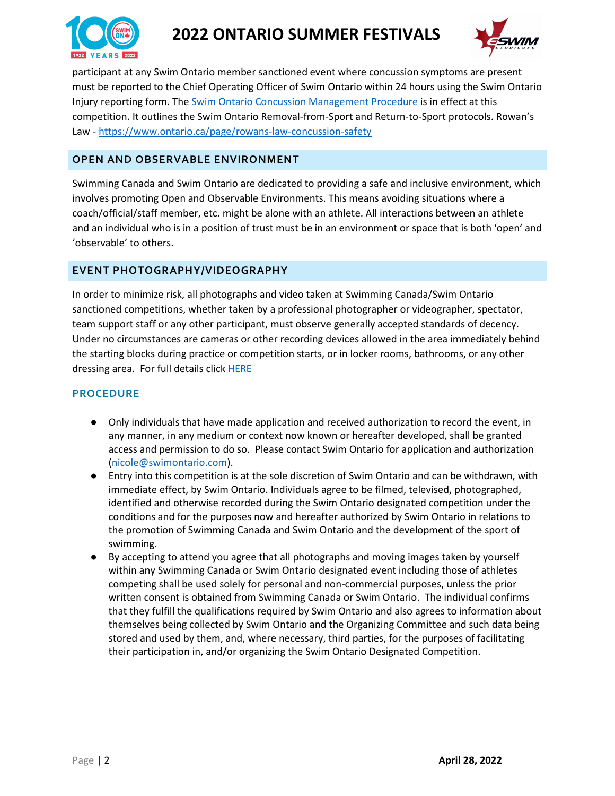

# **2022 ONTARIO SUMMER FESTIVALS**



participant at any Swim Ontario member sanctioned event where concussion symptoms are present must be reported to the Chief Operating Officer of Swim Ontario within 24 hours using the Swim Ontario Injury reporting form. The [Swim Ontario Concussion Management](https://drive.google.com/file/d/1_qO0ewhENDg56ss11MNbo6EKHtuSJFHo/view?usp=sharing) Procedure is in effect at this competition. It outlines the Swim Ontario Removal-from-Sport and Return-to-Sport protocols. Rowan's Law - <https://www.ontario.ca/page/rowans-law-concussion-safety>

#### **OPEN AND OBSERVABLE ENVIRONMENT**

Swimming Canada and Swim Ontario are dedicated to providing a safe and inclusive environment, which involves promoting Open and Observable Environments. This means avoiding situations where a coach/official/staff member, etc. might be alone with an athlete. All interactions between an athlete and an individual who is in a position of trust must be in an environment or space that is both 'open' and 'observable' to others.

#### **EVENT PHOTOGRAPHY/VIDEOGRAPHY**

In order to minimize risk, all photographs and video taken at Swimming Canada/Swim Ontario sanctioned competitions, whether taken by a professional photographer or videographer, spectator, team support staff or any other participant, must observe generally accepted standards of decency. Under no circumstances are cameras or other recording devices allowed in the area immediately behind the starting blocks during practice or competition starts, or in locker rooms, bathrooms, or any other dressing area. For full details click [HERE](https://swimming.ca/content/uploads/2016/10/2016_Safe-Sport-Environment-Policy_20190329.pdf)

#### **PROCEDURE**

- Only individuals that have made application and received authorization to record the event, in any manner, in any medium or context now known or hereafter developed, shall be granted access and permission to do so. Please contact Swim Ontario for application and authorization [\(nicole@swimontario.com\)](mailto:nicole@swimontario.com).
- Entry into this competition is at the sole discretion of Swim Ontario and can be withdrawn, with immediate effect, by Swim Ontario. Individuals agree to be filmed, televised, photographed, identified and otherwise recorded during the Swim Ontario designated competition under the conditions and for the purposes now and hereafter authorized by Swim Ontario in relations to the promotion of Swimming Canada and Swim Ontario and the development of the sport of swimming.
- By accepting to attend you agree that all photographs and moving images taken by yourself within any Swimming Canada or Swim Ontario designated event including those of athletes competing shall be used solely for personal and non-commercial purposes, unless the prior written consent is obtained from Swimming Canada or Swim Ontario. The individual confirms that they fulfill the qualifications required by Swim Ontario and also agrees to information about themselves being collected by Swim Ontario and the Organizing Committee and such data being stored and used by them, and, where necessary, third parties, for the purposes of facilitating their participation in, and/or organizing the Swim Ontario Designated Competition.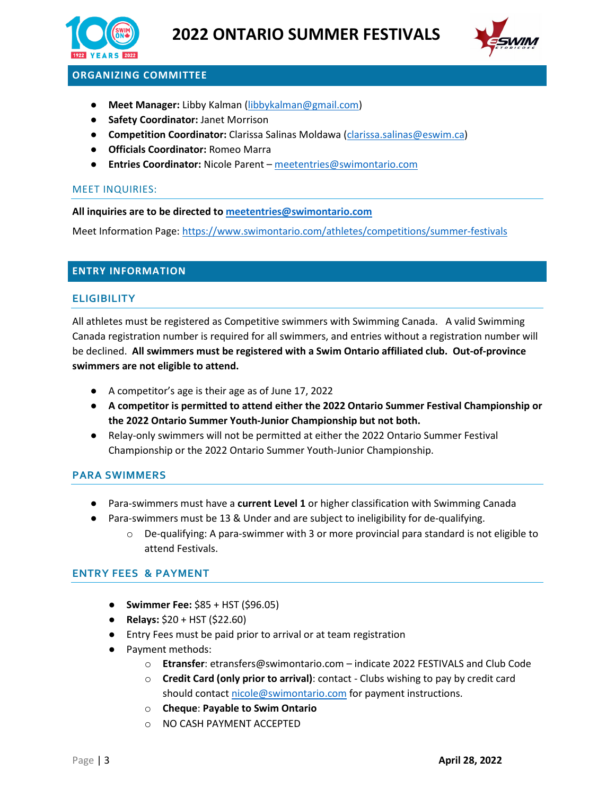



# **ORGANIZING COMMITTEE**

- **Meet Manager:** Libby Kalman [\(libbykalman@gmail.com\)](mailto:libbykalman@gmail.com)
- **Safety Coordinator:** Janet Morrison
- **Competition Coordinator:** Clarissa Salinas Moldawa [\(clarissa.salinas@eswim.ca\)](mailto:clarissa.salinas@eswim.ca)
- **Officials Coordinator:** Romeo Marra
- **Entries Coordinator:** Nicole Parent [meetentries@swimontario.com](mailto:meetentries@swimontario.com)

#### MEET INQUIRIES:

#### **All inquiries are to be directed to [meetentries@swimontario.com](mailto:meetentries@swimontario.com)**

Meet Information Page:<https://www.swimontario.com/athletes/competitions/summer-festivals>

#### **ENTRY INFORMATION**

#### **ELIGIBILITY**

All athletes must be registered as Competitive swimmers with Swimming Canada. A valid Swimming Canada registration number is required for all swimmers, and entries without a registration number will be declined. **All swimmers must be registered with a Swim Ontario affiliated club. Out-of-province swimmers are not eligible to attend.**

- A competitor's age is their age as of June 17, 2022
- **A competitor is permitted to attend either the 2022 Ontario Summer Festival Championship or the 2022 Ontario Summer Youth-Junior Championship but not both.**
- Relay-only swimmers will not be permitted at either the 2022 Ontario Summer Festival Championship or the 2022 Ontario Summer Youth-Junior Championship.

#### **PARA SWIMMERS**

- Para-swimmers must have a **current Level 1** or higher classification with Swimming Canada
- Para-swimmers must be 13 & Under and are subject to ineligibility for de-qualifying.
	- $\circ$  De-qualifying: A para-swimmer with 3 or more provincial para standard is not eligible to attend Festivals.

#### **ENTRY FEES & PAYMENT**

- **Swimmer Fee:** \$85 + HST (\$96.05)
- **Relays:** \$20 + HST (\$22.60)
- Entry Fees must be paid prior to arrival or at team registration
- Payment methods:
	- o **Etransfer**: etransfers@swimontario.com indicate 2022 FESTIVALS and Club Code
	- o **Credit Card (only prior to arrival)**: contact Clubs wishing to pay by credit card should contac[t nicole@swimontario.com](mailto:nicole@swimontario.com) for payment instructions.
	- o **Cheque**: **Payable to Swim Ontario**
	- o NO CASH PAYMENT ACCEPTED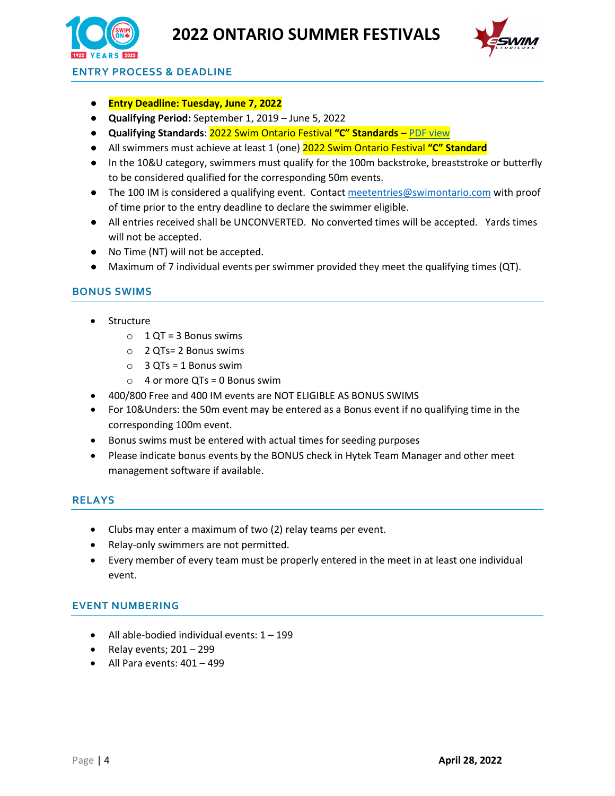



**ENTRY PROCESS & DEADLINE**

- **Entry Deadline: Tuesday, June 7, 2022**
- **Qualifying Period:** September 1, 2019 June 5, 2022
- **Qualifying Standards**: 2022 Swim Ontario Festival **"C" Standards** [PDF view](https://admin.swimontario.com/documents/211/SwimON2021_2022FESTCStandards.pdf)
- All swimmers must achieve at least 1 (one) 2022 Swim Ontario Festival **"C" Standard**
- In the 10&U category, swimmers must qualify for the 100m backstroke, breaststroke or butterfly to be considered qualified for the corresponding 50m events.
- The 100 IM is considered a qualifying event. Contac[t meetentries@swimontario.com](mailto:meetentries@swimontario.com) with proof of time prior to the entry deadline to declare the swimmer eligible.
- All entries received shall be UNCONVERTED. No converted times will be accepted. Yards times will not be accepted.
- No Time (NT) will not be accepted.
- Maximum of 7 individual events per swimmer provided they meet the qualifying times (QT).

#### **BONUS SWIMS**

- Structure
	- $O$  1 QT = 3 Bonus swims
	- o 2 QTs= 2 Bonus swims
	- $O$  3 QTs = 1 Bonus swim
	- $\circ$  4 or more QTs = 0 Bonus swim
- 400/800 Free and 400 IM events are NOT ELIGIBLE AS BONUS SWIMS
- For 10&Unders: the 50m event may be entered as a Bonus event if no qualifying time in the corresponding 100m event.
- Bonus swims must be entered with actual times for seeding purposes
- Please indicate bonus events by the BONUS check in Hytek Team Manager and other meet management software if available.

#### **RELAYS**

- Clubs may enter a maximum of two (2) relay teams per event.
- Relay-only swimmers are not permitted.
- Every member of every team must be properly entered in the meet in at least one individual event.

#### **EVENT NUMBERING**

- $\bullet$  All able-bodied individual events:  $1 199$
- Relay events;  $201 299$
- All Para events: 401 499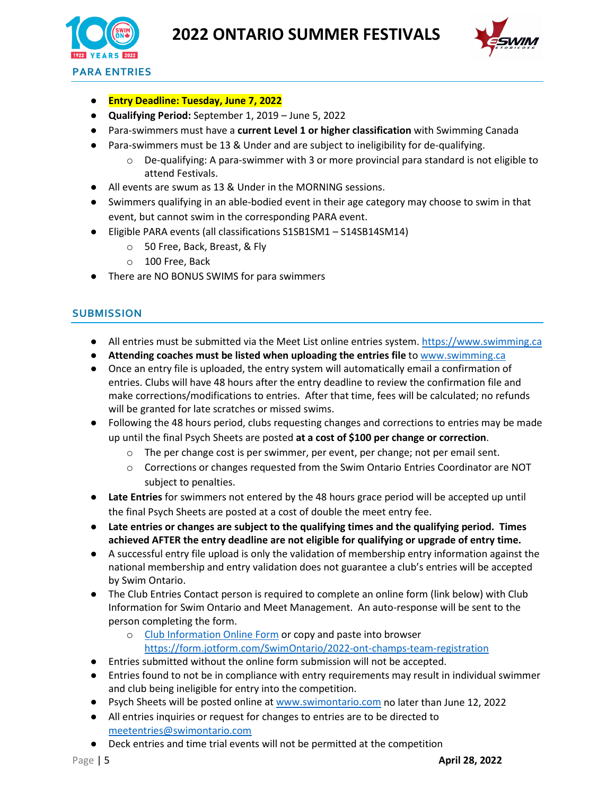



- **Entry Deadline: Tuesday, June 7, 2022**
- **Qualifying Period:** September 1, 2019 June 5, 2022
- Para-swimmers must have a **current Level 1 or higher classification** with Swimming Canada
- Para-swimmers must be 13 & Under and are subject to ineligibility for de-qualifying.
	- $\circ$  De-qualifying: A para-swimmer with 3 or more provincial para standard is not eligible to attend Festivals.
- All events are swum as 13 & Under in the MORNING sessions.
- Swimmers qualifying in an able-bodied event in their age category may choose to swim in that event, but cannot swim in the corresponding PARA event.
- Eligible PARA events (all classifications S1SB1SM1 S14SB14SM14)
	- o 50 Free, Back, Breast, & Fly
	- o 100 Free, Back
- There are NO BONUS SWIMS for para swimmers

#### **SUBMISSION**

- All entries must be submitted via the Meet List online entries system. [https://www.swimming.ca](https://www.swimming.ca/)
- **Attending coaches must be listed when uploading the entries file** to [www.swimming.ca](http://www.swimming.ca/)
- Once an entry file is uploaded, the entry system will automatically email a confirmation of entries. Clubs will have 48 hours after the entry deadline to review the confirmation file and make corrections/modifications to entries. After that time, fees will be calculated; no refunds will be granted for late scratches or missed swims.
- Following the 48 hours period, clubs requesting changes and corrections to entries may be made up until the final Psych Sheets are posted **at a cost of \$100 per change or correction**.
	- o The per change cost is per swimmer, per event, per change; not per email sent.
	- $\circ$  Corrections or changes requested from the Swim Ontario Entries Coordinator are NOT subject to penalties.
- **Late Entries** for swimmers not entered by the 48 hours grace period will be accepted up until the final Psych Sheets are posted at a cost of double the meet entry fee.
- **Late entries or changes are subject to the qualifying times and the qualifying period. Times achieved AFTER the entry deadline are not eligible for qualifying or upgrade of entry time.**
- A successful entry file upload is only the validation of membership entry information against the national membership and entry validation does not guarantee a club's entries will be accepted by Swim Ontario.
- The Club Entries Contact person is required to complete an online form (link below) with Club Information for Swim Ontario and Meet Management. An auto-response will be sent to the person completing the form.
	- o [Club Information Online Form](https://form.jotform.com/SwimOntario/2022-ont-champs-team-registration) or copy and paste into browser <https://form.jotform.com/SwimOntario/2022-ont-champs-team-registration>
- Entries submitted without the online form submission will not be accepted.
- Entries found to not be in compliance with entry requirements may result in individual swimmer and club being ineligible for entry into the competition.
- Psych Sheets will be posted online at [www.swimontario.com](http://www.swimontario.com/) no later than June 12, 2022
- All entries inquiries or request for changes to entries are to be directed to [meetentries@swimontario.com](mailto:meetentries@swimontario.com)
- Deck entries and time trial events will not be permitted at the competition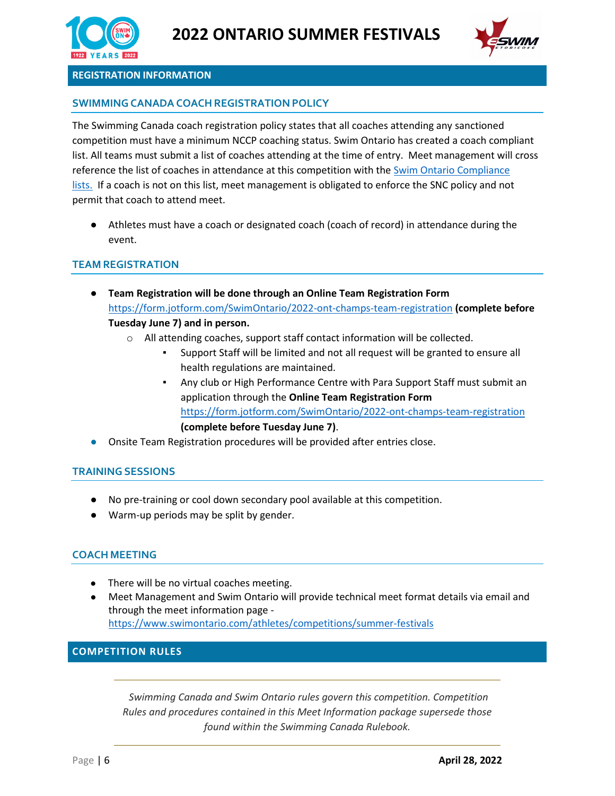



#### **REGISTRATION INFORMATION**

### **SWIMMINGCANADACOACHREGISTRATION POLICY**

The Swimming Canada coach registration policy states that all coaches attending any sanctioned competition must have a minimum NCCP coaching status. Swim Ontario has created a coach compliant list. All teams must submit a list of coaches attending at the time of entry. Meet management will cross reference the list of coaches in attendance at this competition with the **Swim Ontario Compliance** [lists.](https://www.swimontario.com/coaches/compliance) If a coach is not on this list, meet management is obligated to enforce the SNC policy and not permit that coach to attend meet.

● Athletes must have a coach or designated coach (coach of record) in attendance during the event.

#### **TEAM REGISTRATION**

- **Team Registration will be done through an [Online Team Registration Form](about:blank)** <https://form.jotform.com/SwimOntario/2022-ont-champs-team-registration> **(complete before Tuesday June 7) and in person.**
	- o All attending coaches, support staff contact information will be collected.
		- Support Staff will be limited and not all request will be granted to ensure all health regulations are maintained.
		- Any club or High Performance Centre with Para Support Staff must submit an application through the **[Online Team Registration Form](about:blank)** <https://form.jotform.com/SwimOntario/2022-ont-champs-team-registration> **(complete before Tuesday June 7)**.
- Onsite Team Registration procedures will be provided after entries close.

#### **TRAININGSESSIONS**

- No pre-training or cool down secondary pool available at this competition.
- Warm-up periods may be split by gender.

#### **COACH MEETING**

- There will be no virtual coaches meeting.
- Meet Management and Swim Ontario will provide technical meet format details via email and through the meet information page <https://www.swimontario.com/athletes/competitions/summer-festivals>

#### **COMPETITION RULES**

*Swimming Canada and Swim Ontario rules govern this competition. Competition Rules and procedures contained in this Meet Information package supersede those found within the Swimming Canada Rulebook.*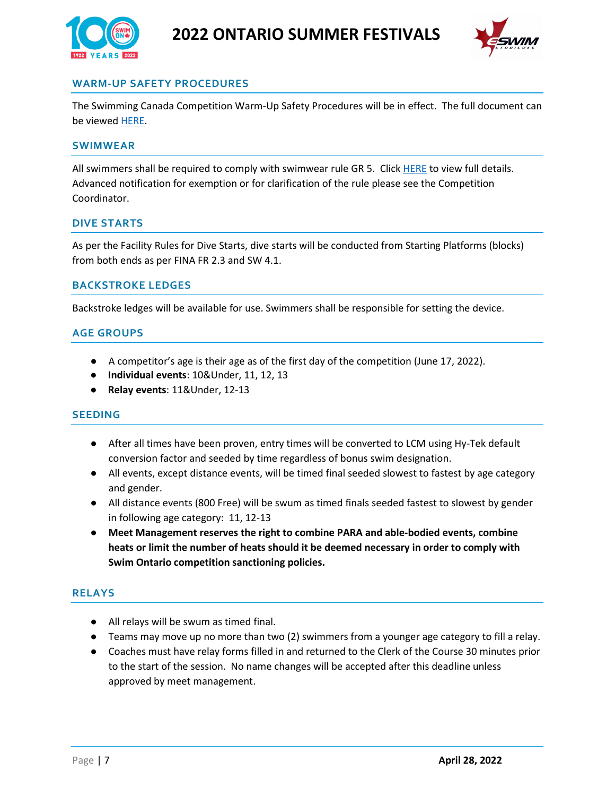



# **WARM-UP SAFETY PROCEDURES**

The Swimming Canada Competition Warm-Up Safety Procedures will be in effect. The full document can be viewed [HERE.](https://www.swimming.ca/en/resources/officiating/event-resources/competition-warm-up-safety-procedures/)

#### **SWIMWEAR**

All swimmers shall be required to comply with swimwear rule GR 5. Click [HERE](https://drive.google.com/file/d/1aIMdjBPI5YPe3_9Kqg--rg1RiqPGGZMK/view?usp=sharing) to view full details. Advanced notification for exemption or for clarification of the rule please see the Competition Coordinator.

#### **DIVE STARTS**

As per the Facility Rules for Dive Starts, dive starts will be conducted from Starting Platforms (blocks) from both ends as per FINA FR 2.3 and SW 4.1.

#### **BACKSTROKE LEDGES**

Backstroke ledges will be available for use. Swimmers shall be responsible for setting the device.

#### **AGE GROUPS**

- A competitor's age is their age as of the first day of the competition (June 17, 2022).
- **Individual events**: 10&Under, 11, 12, 13
- **Relay events**: 11&Under, 12-13

#### **SEEDING**

- After all times have been proven, entry times will be converted to LCM using Hy-Tek default conversion factor and seeded by time regardless of bonus swim designation.
- All events, except distance events, will be timed final seeded slowest to fastest by age category and gender.
- All distance events (800 Free) will be swum as timed finals seeded fastest to slowest by gender in following age category: 11, 12-13
- **Meet Management reserves the right to combine PARA and able-bodied events, combine heats or limit the number of heats should it be deemed necessary in order to comply with Swim Ontario competition sanctioning policies.**

#### **RELAYS**

- All relays will be swum as timed final.
- Teams may move up no more than two (2) swimmers from a younger age category to fill a relay.
- Coaches must have relay forms filled in and returned to the Clerk of the Course 30 minutes prior to the start of the session. No name changes will be accepted after this deadline unless approved by meet management.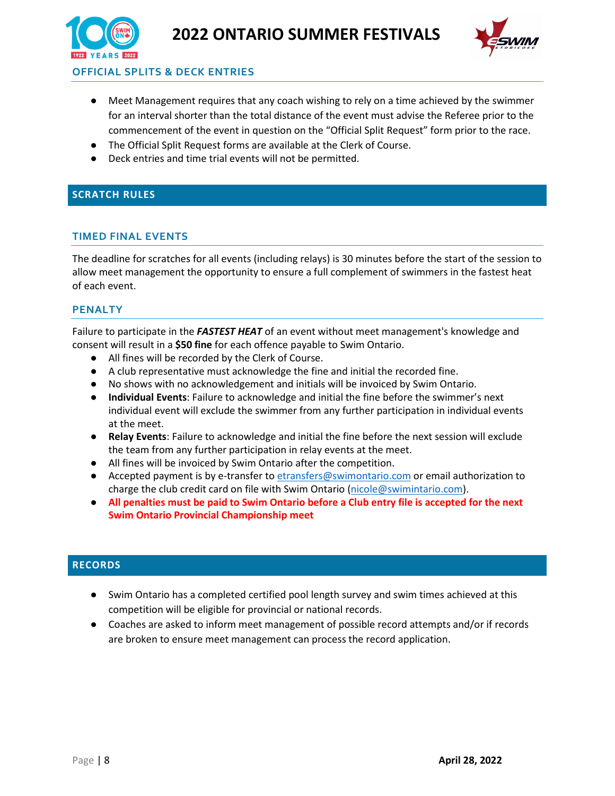



**OFFICIAL SPLITS & DECK ENTRIES**

- Meet Management requires that any coach wishing to rely on a time achieved by the swimmer for an interval shorter than the total distance of the event must advise the Referee prior to the commencement of the event in question on the "Official Split Request" form prior to the race.
- The Official Split Request forms are available at the Clerk of Course.
- Deck entries and time trial events will not be permitted.

# **SCRATCH RULES**

# **TIMED FINAL EVENTS**

The deadline for scratches for all events (including relays) is 30 minutes before the start of the session to allow meet management the opportunity to ensure a full complement of swimmers in the fastest heat of each event.

# **PENALTY**

Failure to participate in the *FASTEST HEAT* of an event without meet management's knowledge and consent will result in a **\$50 fine** for each offence payable to Swim Ontario.

- All fines will be recorded by the Clerk of Course.
- A club representative must acknowledge the fine and initial the recorded fine.
- No shows with no acknowledgement and initials will be invoiced by Swim Ontario.
- **Individual Events**: Failure to acknowledge and initial the fine before the swimmer's next individual event will exclude the swimmer from any further participation in individual events at the meet.
- **Relay Events**: Failure to acknowledge and initial the fine before the next session will exclude the team from any further participation in relay events at the meet.
- All fines will be invoiced by Swim Ontario after the competition.
- Accepted payment is by e-transfer to [etransfers@swimontario.com](mailto:etransfers@swimontario.com) or email authorization to charge the club credit card on file with Swim Ontario [\(nicole@swimintario.com\)](mailto:nicole@swimintario.com).
- **All penalties must be paid to Swim Ontario before a Club entry file is accepted for the next Swim Ontario Provincial Championship meet**

# **RECORDS**

- Swim Ontario has a completed certified pool length survey and swim times achieved at this competition will be eligible for provincial or national records.
- Coaches are asked to inform meet management of possible record attempts and/or if records are broken to ensure meet management can process the record application.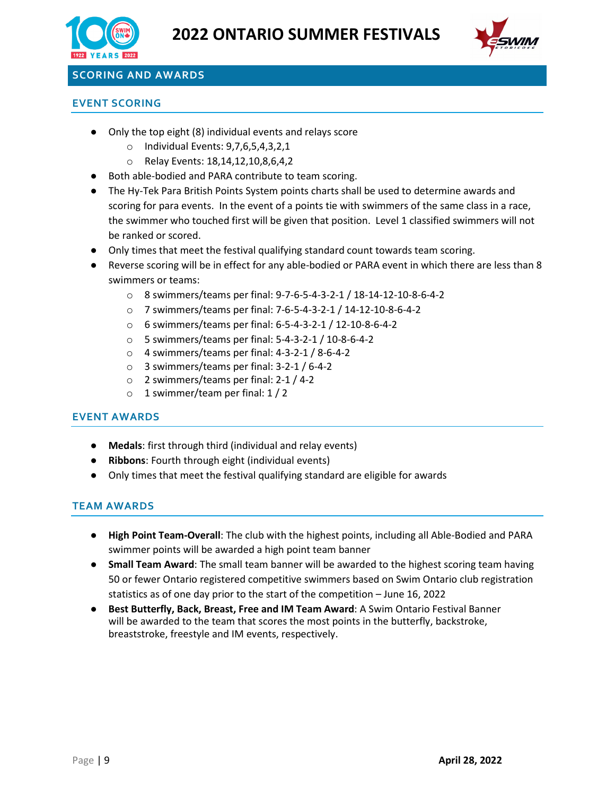



# **SCORING AND AWARDS**

### **EVENT SCORING**

- Only the top eight (8) individual events and relays score
	- o Individual Events: 9,7,6,5,4,3,2,1
	- o Relay Events: 18,14,12,10,8,6,4,2
- Both able-bodied and PARA contribute to team scoring.
- The Hy-Tek Para British Points System points charts shall be used to determine awards and scoring for para events. In the event of a points tie with swimmers of the same class in a race, the swimmer who touched first will be given that position. Level 1 classified swimmers will not be ranked or scored.
- Only times that meet the festival qualifying standard count towards team scoring.
- Reverse scoring will be in effect for any able-bodied or PARA event in which there are less than 8 swimmers or teams:
	- o 8 swimmers/teams per final: 9-7-6-5-4-3-2-1 / 18-14-12-10-8-6-4-2
	- o 7 swimmers/teams per final: 7-6-5-4-3-2-1 / 14-12-10-8-6-4-2
	- o 6 swimmers/teams per final: 6-5-4-3-2-1 / 12-10-8-6-4-2
	- o 5 swimmers/teams per final: 5-4-3-2-1 / 10-8-6-4-2
	- $\circ$  4 swimmers/teams per final: 4-3-2-1 / 8-6-4-2
	- o 3 swimmers/teams per final: 3-2-1 / 6-4-2
	- o 2 swimmers/teams per final: 2-1 / 4-2
	- o 1 swimmer/team per final: 1 / 2

# **EVENT AWARDS**

- **Medals**: first through third (individual and relay events)
- **Ribbons**: Fourth through eight (individual events)
- Only times that meet the festival qualifying standard are eligible for awards

# **TEAM AWARDS**

- **High Point Team-Overall**: The club with the highest points, including all Able-Bodied and PARA swimmer points will be awarded a high point team banner
- **Small Team Award**: The small team banner will be awarded to the highest scoring team having 50 or fewer Ontario registered competitive swimmers based on Swim Ontario club registration statistics as of one day prior to the start of the competition – June 16, 2022
- **Best Butterfly, Back, Breast, Free and IM Team Award**: A Swim Ontario Festival Banner will be awarded to the team that scores the most points in the butterfly, backstroke, breaststroke, freestyle and IM events, respectively.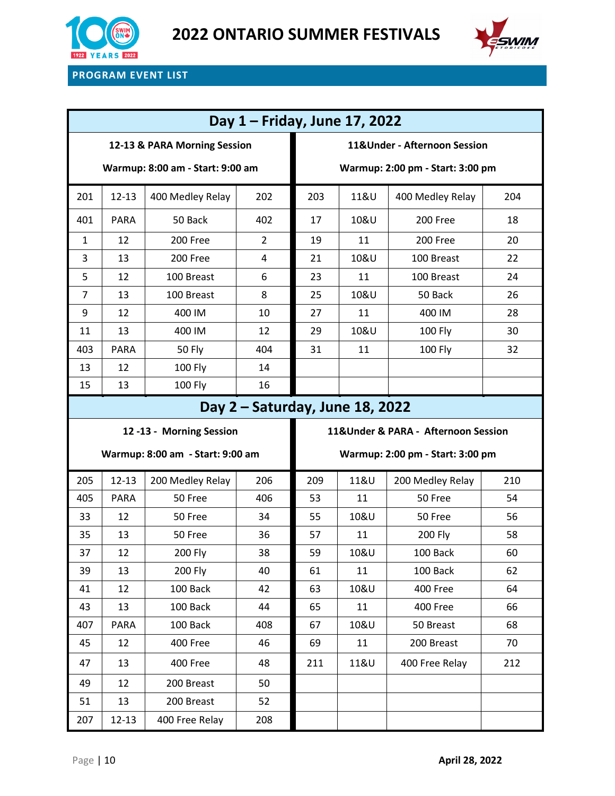



# **PROGRAM EVENT LIST**

| Day 1 - Friday, June 17, 2022    |             |                                  |                |                                      |      |                                  |     |  |  |  |  |  |
|----------------------------------|-------------|----------------------------------|----------------|--------------------------------------|------|----------------------------------|-----|--|--|--|--|--|
| 12-13 & PARA Morning Session     |             |                                  |                | 11&Under - Afternoon Session         |      |                                  |     |  |  |  |  |  |
| Warmup: 8:00 am - Start: 9:00 am |             |                                  |                | Warmup: 2:00 pm - Start: 3:00 pm     |      |                                  |     |  |  |  |  |  |
| 201                              | $12 - 13$   | 400 Medley Relay                 | 202            | 203                                  | 11&U | 400 Medley Relay                 | 204 |  |  |  |  |  |
| 401                              | <b>PARA</b> | 50 Back                          | 402            | 17                                   | 10&U | 200 Free                         | 18  |  |  |  |  |  |
| $\mathbf{1}$                     | 12          | 200 Free                         | $\overline{2}$ | 19                                   | 11   | 200 Free                         | 20  |  |  |  |  |  |
| 3                                | 13          | 200 Free                         | 4              | 21                                   | 10&U | 100 Breast                       | 22  |  |  |  |  |  |
| 5                                | 12          | 100 Breast                       | 6              | 23                                   | 11   | 100 Breast                       | 24  |  |  |  |  |  |
| $\overline{7}$                   | 13          | 100 Breast                       | 8              | 25                                   | 10&U | 50 Back                          | 26  |  |  |  |  |  |
| 9                                | 12          | 400 IM                           | 10             | 27                                   | 11   | 400 IM                           | 28  |  |  |  |  |  |
| 11                               | 13          | 400 IM                           | 12             | 29                                   | 10&U | 100 Fly                          | 30  |  |  |  |  |  |
| 403                              | <b>PARA</b> | <b>50 Fly</b>                    | 404            | 31                                   | 11   | <b>100 Fly</b>                   | 32  |  |  |  |  |  |
| 13                               | 12          | 100 Fly                          | 14             |                                      |      |                                  |     |  |  |  |  |  |
| 15                               | 13          | 100 Fly                          | 16             |                                      |      |                                  |     |  |  |  |  |  |
| Day 2 - Saturday, June 18, 2022  |             |                                  |                |                                      |      |                                  |     |  |  |  |  |  |
| 12-13 - Morning Session          |             |                                  |                | 11& Under & PARA - Afternoon Session |      |                                  |     |  |  |  |  |  |
|                                  |             |                                  |                |                                      |      |                                  |     |  |  |  |  |  |
|                                  |             | Warmup: 8:00 am - Start: 9:00 am |                |                                      |      | Warmup: 2:00 pm - Start: 3:00 pm |     |  |  |  |  |  |
| 205                              | $12 - 13$   | 200 Medley Relay                 | 206            | 209                                  | 11&U | 200 Medley Relay                 | 210 |  |  |  |  |  |
| 405                              | <b>PARA</b> | 50 Free                          | 406            | 53                                   | 11   | 50 Free                          | 54  |  |  |  |  |  |
| 33                               | 12          | 50 Free                          | 34             | 55                                   | 10&U | 50 Free                          | 56  |  |  |  |  |  |
| 35                               | 13          | 50 Free                          | 36             | 57                                   | 11   | 200 Fly                          | 58  |  |  |  |  |  |
| 37                               | 12          | 200 Fly                          | 38             | 59                                   | 10&U | 100 Back                         | 60  |  |  |  |  |  |
| 39                               | 13          | <b>200 Fly</b>                   | 40             | 61                                   | 11   | 100 Back                         | 62  |  |  |  |  |  |
| 41                               | 12          | 100 Back                         | 42             | 63                                   | 10&U | 400 Free                         | 64  |  |  |  |  |  |
| 43                               | 13          | 100 Back                         | 44             | 65                                   | 11   | 400 Free                         | 66  |  |  |  |  |  |
| 407                              | <b>PARA</b> | 100 Back                         | 408            | 67                                   | 10&U | 50 Breast                        | 68  |  |  |  |  |  |
| 45                               | 12          | 400 Free                         | 46             | 69                                   | 11   | 200 Breast                       | 70  |  |  |  |  |  |
| 47                               | 13          | 400 Free                         | 48             | 211                                  | 11&U | 400 Free Relay                   | 212 |  |  |  |  |  |
| 49                               | 12          | 200 Breast                       | 50             |                                      |      |                                  |     |  |  |  |  |  |
| 51                               | 13          | 200 Breast                       | 52             |                                      |      |                                  |     |  |  |  |  |  |